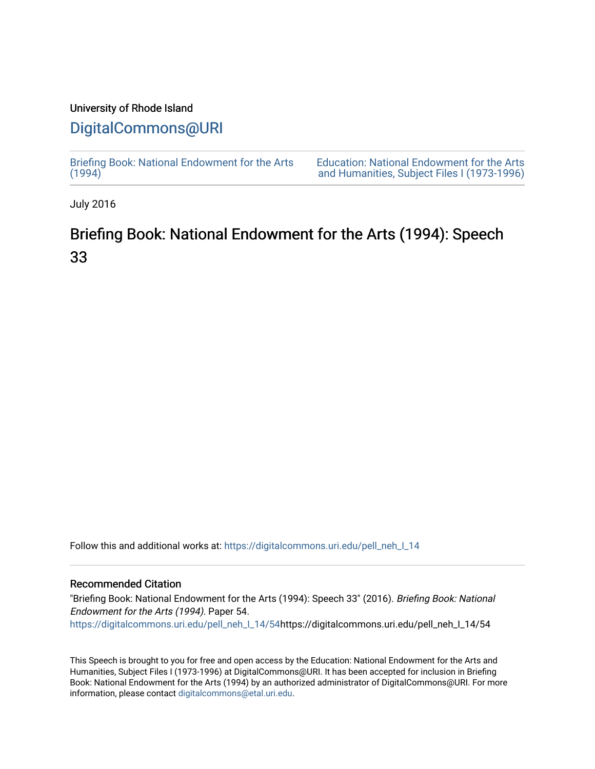### University of Rhode Island

## [DigitalCommons@URI](https://digitalcommons.uri.edu/)

[Briefing Book: National Endowment for the Arts](https://digitalcommons.uri.edu/pell_neh_I_14)  $(1994)$ 

[Education: National Endowment for the Arts](https://digitalcommons.uri.edu/pell_neh_I)  [and Humanities, Subject Files I \(1973-1996\)](https://digitalcommons.uri.edu/pell_neh_I) 

July 2016

# Briefing Book: National Endowment for the Arts (1994): Speech 33

Follow this and additional works at: [https://digitalcommons.uri.edu/pell\\_neh\\_I\\_14](https://digitalcommons.uri.edu/pell_neh_I_14?utm_source=digitalcommons.uri.edu%2Fpell_neh_I_14%2F54&utm_medium=PDF&utm_campaign=PDFCoverPages) 

### Recommended Citation

"Briefing Book: National Endowment for the Arts (1994): Speech 33" (2016). Briefing Book: National Endowment for the Arts (1994). Paper 54. [https://digitalcommons.uri.edu/pell\\_neh\\_I\\_14/54h](https://digitalcommons.uri.edu/pell_neh_I_14/54?utm_source=digitalcommons.uri.edu%2Fpell_neh_I_14%2F54&utm_medium=PDF&utm_campaign=PDFCoverPages)ttps://digitalcommons.uri.edu/pell\_neh\_I\_14/54

This Speech is brought to you for free and open access by the Education: National Endowment for the Arts and Humanities, Subject Files I (1973-1996) at DigitalCommons@URI. It has been accepted for inclusion in Briefing Book: National Endowment for the Arts (1994) by an authorized administrator of DigitalCommons@URI. For more information, please contact [digitalcommons@etal.uri.edu.](mailto:digitalcommons@etal.uri.edu)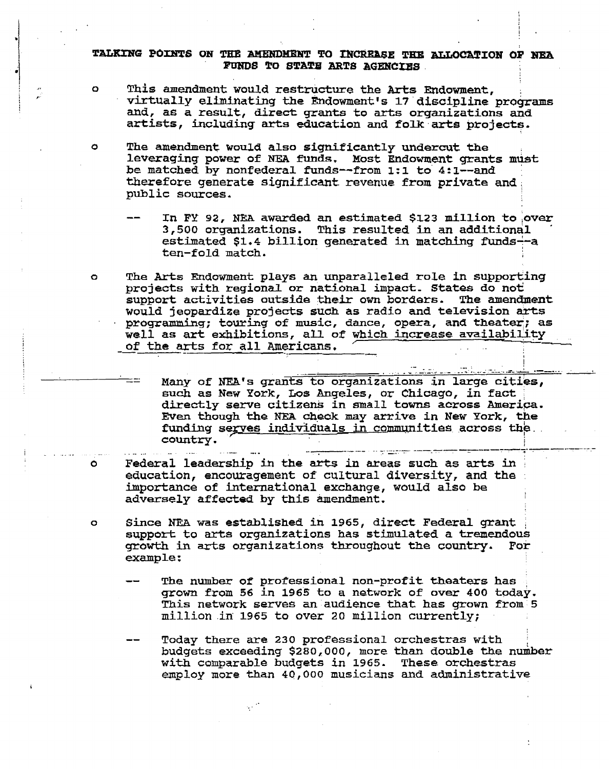#### TALKING POINTS ON THE AMENDMENT TO INCREASE THE ALLOCATION OF NEA FUNDS TO STATE ARTS AGENCIES

- $\Omega$ This amendment would restructure the Arts Endowment, virtually eliminating the Endowment's 17 discipline programs and, as a result, direct grants to arts organizations and artists, including arts education and folk arts projects.
	- The amendment would also significantly undercut the leveraging power of NEA funds. Most Endowment grants must be matched by nonfederal funds--from 1:1 to 4:1--and therefore generate significant revenue from private and public sources.

Ŏ

 $\bullet$ 

In FY 92, NEA awarded an estimated \$123 million to over 3,500 organizations. This resulted in an additional estimated \$1.4 billion generated in matching funds--a ten-fold match.

The Arts Endowment plays an unparalleled role in supporting projects with regional or national impact. States do not support activities outside their own borders. The amendment would jeopardize projects such as radio and television arts programming; touring of music, dance, opera, and theater; as well as art exhibitions, all of which increase availability of the arts for all Americans.

> Many of NEA's grants to organizations in large cities, such as New York, Los Angeles, or Chicago, in fact directly serve citizens in small towns across America. Even though the NEA check may arrive in New York, the funding serves individuals in communities across the country.

> > sasan beging <del>seri</del>

anan kacamatan ing Kabupatèn Bandaran Kabupatèn Bandaran Ing Kabupatèn Bandaran Ing Kabupatèn Bandaran Kabupatèn Bandaran Kabupatèn Bandaran Bandaran Bandaran Bandaran Bandaran Bandaran Bandaran Bandaran Bandaran Bandaran

- Federal leadership in the arts in areas such as arts in  $\Omega$ education, encouragement of cultural diversity, and the importance of international exchange, would also be adversely affected by this amendment.
- Since NEA was established in 1965, direct Federal grant  $\circ$ support to arts organizations has stimulated a tremendous growth in arts organizations throughout the country. For example:

 $\mathcal{L}^{(1)}$ 

- The number of professional non-profit theaters has grown from 56 in 1965 to a network of over 400 today. This network serves an audience that has grown from 5 million in 1965 to over 20 million currently;
- Today there are 230 professional orchestras with budgets exceeding \$280,000, more than double the number with comparable budgets in 1965. These orchestras employ more than 40,000 musicians and administrative